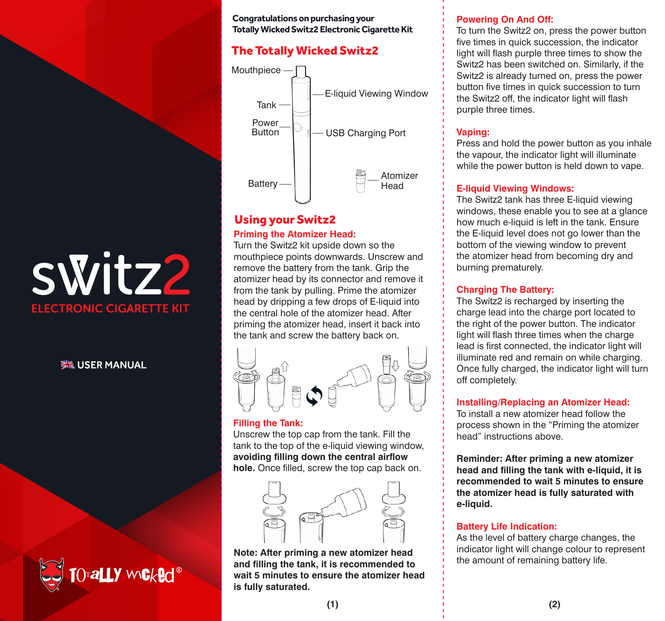# switz2 **ELECTRONIC CIGARETTE KIT**

## **WE USER MANUAL**



#### **Congratulations on purchasing your Totally Wicked Switz2 Electronic Cigarette Kit**

# The Totally Wicked Switz2



# Using your Switz2

#### **Priming the Atomizer Head:**

Turn the Switz2 kit upside down so the mouthpiece points downwards. Unscrew and remove the battery from the tank. Grip the atomizer head by its connector and remove it from the tank by pulling. Prime the atomizer head by dripping a few drops of E-liquid into the central hole of the atomizer head. After priming the atomizer head, insert it back into the tank and screw the battery back on.



#### **Filling the Tank:**

Unscrew the top cap from the tank. Fill the tank to the top of the e-liquid viewing window, **avoiding filling down the central airflow hole.** Once filled, screw the top cap back on.



**Note: After priming a new atomizer head and filling the tank, it is recommended to wait 5 minutes to ensure the atomizer head is fully saturated.**

#### **Powering On And Off:**

To turn the Switz2 on, press the power button five times in quick succession, the indicator light will flash purple three times to show the Switz2 has been switched on. Similarly, if the Switz2 is already turned on, press the power button five times in quick succession to turn the Switz2 off, the indicator light will flash purple three times.

#### **Vaping:**

Press and hold the power button as you inhale the vapour, the indicator light will illuminate while the power button is held down to vape.

#### **E-liquid Viewing Windows:**

The Switz2 tank has three E-liquid viewing windows, these enable you to see at a glance how much e-liquid is left in the tank. Ensure the E-liquid level does not go lower than the bottom of the viewing window to prevent the atomizer head from becoming dry and burning prematurely.

#### **Charging The Battery:**

The Switz2 is recharged by inserting the charge lead into the charge port located to the right of the power button. The indicator light will flash three times when the charge lead is first connected, the indicator light will illuminate red and remain on while charging. Once fully charged, the indicator light will turn off completely.

#### **Installing/Replacing an Atomizer Head:**

To install a new atomizer head follow the process shown in the "Priming the atomizer head" instructions above.

**Reminder: After priming a new atomizer head and filling the tank with e-liquid, it is recommended to wait 5 minutes to ensure the atomizer head is fully saturated with e-liquid.**

#### **Battery Life Indication:**

As the level of battery charge changes, the indicator light will change colour to represent the amount of remaining battery life.